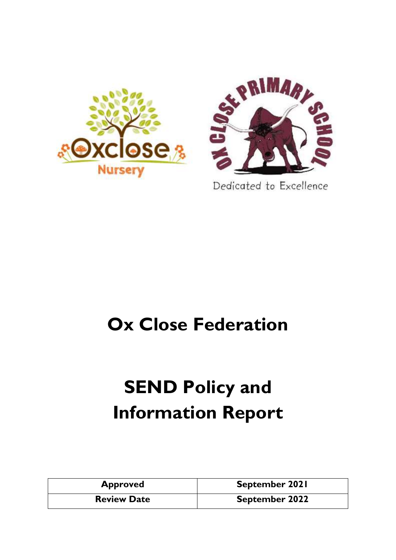



Dedicated to Excellence

## **Ox Close Federation**

# **SEND Policy and Information Report**

| <b>Approved</b>    | September 2021        |
|--------------------|-----------------------|
| <b>Review Date</b> | <b>September 2022</b> |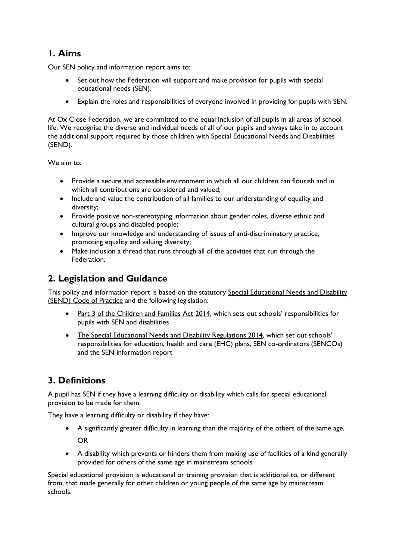## **1. Aims**

Our SEN policy and information report aims to:

- Set out how the Federation will support and make provision for pupils with special educational needs (SEN).
- Explain the roles and responsibilities of everyone involved in providing for pupils with SEN.

At Ox Close Federation, we are committed to the equal inclusion of all pupils in all areas of school life. We recognise the diverse and individual needs of all of our pupils and always take in to account the additional support required by those children with Special Educational Needs and Disabilities (SEND).

We aim to:

- Provide a secure and accessible environment in which all our children can flourish and in which all contributions are considered and valued;
- Include and value the contribution of all families to our understanding of equality and diversity;
- Provide positive non-stereotyping information about gender roles, diverse ethnic and cultural groups and disabled people;
- Improve our knowledge and understanding of issues of anti-discriminatory practice, promoting equality and valuing diversity;
- Make inclusion a thread that runs through all of the activities that run through the Federation.

## **2. Legislation and Guidance**

This policy and information report is based on the statutory Special Educational Needs and Disability [\(SEND\) Code of Practice](https://www.gov.uk/government/uploads/system/uploads/attachment_data/file/398815/SEND_Code_of_Practice_January_2015.pdf) and the following legislation:

- [Part 3 of the Children and Families Act 2014](http://www.legislation.gov.uk/ukpga/2014/6/part/3), which sets out schools' responsibilities for pupils with SEN and disabilities
- [The Special Educational Needs and Disability Regulations 2014](http://www.legislation.gov.uk/uksi/2014/1530/contents/made), which set out schools' responsibilities for education, health and care (EHC) plans, SEN co-ordinators (SENCOs) and the SEN information report

## **3. Definitions**

A pupil has SEN if they have a learning difficulty or disability which calls for special educational provision to be made for them.

They have a learning difficulty or disability if they have:

- A significantly greater difficulty in learning than the majority of the others of the same age, OR
- A disability which prevents or hinders them from making use of facilities of a kind generally provided for others of the same age in mainstream schools

Special educational provision is educational or training provision that is additional to, or different from, that made generally for other children or young people of the same age by mainstream schools.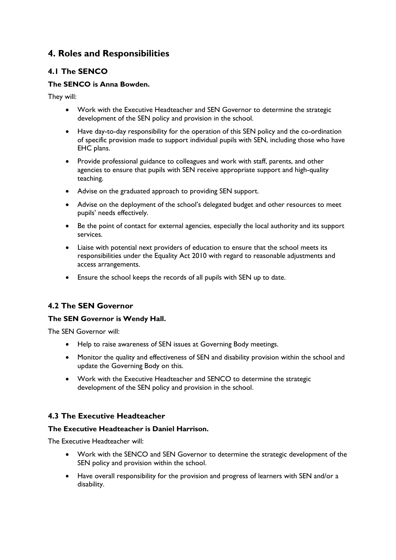## **4. Roles and Responsibilities**

#### **4.1 The SENCO**

#### **The SENCO is Anna Bowden.**

They will:

- Work with the Executive Headteacher and SEN Governor to determine the strategic development of the SEN policy and provision in the school.
- Have day-to-day responsibility for the operation of this SEN policy and the co-ordination of specific provision made to support individual pupils with SEN, including those who have EHC plans.
- Provide professional guidance to colleagues and work with staff, parents, and other agencies to ensure that pupils with SEN receive appropriate support and high-quality teaching.
- Advise on the graduated approach to providing SEN support.
- Advise on the deployment of the school's delegated budget and other resources to meet pupils' needs effectively.
- Be the point of contact for external agencies, especially the local authority and its support services.
- Liaise with potential next providers of education to ensure that the school meets its responsibilities under the Equality Act 2010 with regard to reasonable adjustments and access arrangements.
- Ensure the school keeps the records of all pupils with SEN up to date.

#### **4.2 The SEN Governor**

#### **The SEN Governor is Wendy Hall.**

The SEN Governor will:

- Help to raise awareness of SEN issues at Governing Body meetings.
- Monitor the quality and effectiveness of SEN and disability provision within the school and update the Governing Body on this.
- Work with the Executive Headteacher and SENCO to determine the strategic development of the SEN policy and provision in the school.

#### **4.3 The Executive Headteacher**

#### **The Executive Headteacher is Daniel Harrison.**

The Executive Headteacher will:

- Work with the SENCO and SEN Governor to determine the strategic development of the SEN policy and provision within the school.
- Have overall responsibility for the provision and progress of learners with SEN and/or a disability.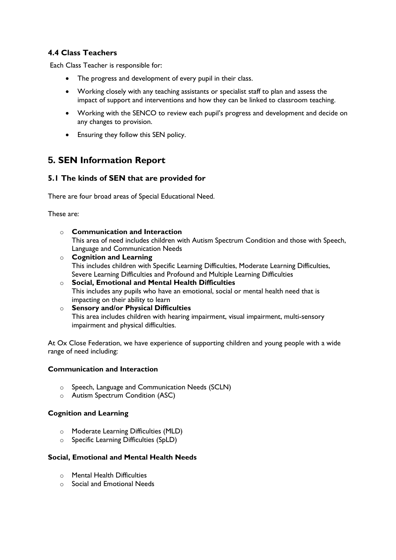#### **4.4 Class Teachers**

Each Class Teacher is responsible for:

- The progress and development of every pupil in their class.
- Working closely with any teaching assistants or specialist staff to plan and assess the impact of support and interventions and how they can be linked to classroom teaching.
- Working with the SENCO to review each pupil's progress and development and decide on any changes to provision.
- Ensuring they follow this SEN policy.

## **5. SEN Information Report**

#### **5.1 The kinds of SEN that are provided for**

There are four broad areas of Special Educational Need.

These are:

- o **Communication and Interaction** This area of need includes children with Autism Spectrum Condition and those with Speech, Language and Communication Needs
- o **Cognition and Learning** This includes children with Specific Learning Difficulties, Moderate Learning Difficulties, Severe Learning Difficulties and Profound and Multiple Learning Difficulties
- o **Social, Emotional and Mental Health Difficulties** This includes any pupils who have an emotional, social or mental health need that is impacting on their ability to learn
- o **Sensory and/or Physical Difficulties** This area includes children with hearing impairment, visual impairment, multi-sensory impairment and physical difficulties.

At Ox Close Federation, we have experience of supporting children and young people with a wide range of need including:

#### **Communication and Interaction**

- o Speech, Language and Communication Needs (SCLN)
- o Autism Spectrum Condition (ASC)

#### **Cognition and Learning**

- o Moderate Learning Difficulties (MLD)
- o Specific Learning Difficulties (SpLD)

#### **Social, Emotional and Mental Health Needs**

- o Mental Health Difficulties
- o Social and Emotional Needs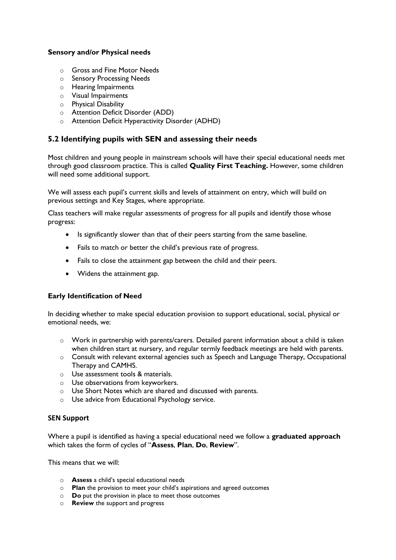#### **Sensory and/or Physical needs**

- o Gross and Fine Motor Needs
- o Sensory Processing Needs
- o Hearing Impairments
- o Visual Impairments
- o Physical Disability
- o Attention Deficit Disorder (ADD)
- o Attention Deficit Hyperactivity Disorder (ADHD)

#### **5.2 Identifying pupils with SEN and assessing their needs**

Most children and young people in mainstream schools will have their special educational needs met through good classroom practice. This is called **Quality First Teaching.** However, some children will need some additional support.

We will assess each pupil's current skills and levels of attainment on entry, which will build on previous settings and Key Stages, where appropriate.

Class teachers will make regular assessments of progress for all pupils and identify those whose progress:

- Is significantly slower than that of their peers starting from the same baseline.
- Fails to match or better the child's previous rate of progress.
- Fails to close the attainment gap between the child and their peers.
- Widens the attainment gap.

#### **Early Identification of Need**

In deciding whether to make special education provision to support educational, social, physical or emotional needs, we:

- $\circ$  Work in partnership with parents/carers. Detailed parent information about a child is taken when children start at nursery, and regular termly feedback meetings are held with parents.
- o Consult with relevant external agencies such as Speech and Language Therapy, Occupational Therapy and CAMHS.
- o Use assessment tools & materials.
- o Use observations from keyworkers.
- o Use Short Notes which are shared and discussed with parents.
- o Use advice from Educational Psychology service.

#### **SEN Support**

Where a pupil is identified as having a special educational need we follow a **graduated approach** which takes the form of cycles of "**Assess**, **Plan**, **Do**, **Review**".

This means that we will:

- o **Assess** a child's special educational needs
- o **Plan** the provision to meet your child's aspirations and agreed outcomes
- o **Do** put the provision in place to meet those outcomes
- o **Review** the support and progress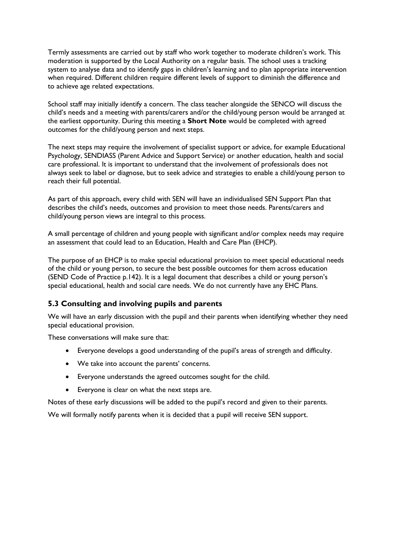Termly assessments are carried out by staff who work together to moderate children's work. This moderation is supported by the Local Authority on a regular basis. The school uses a tracking system to analyse data and to identify gaps in children's learning and to plan appropriate intervention when required. Different children require different levels of support to diminish the difference and to achieve age related expectations.

School staff may initially identify a concern. The class teacher alongside the SENCO will discuss the child's needs and a meeting with parents/carers and/or the child/young person would be arranged at the earliest opportunity. During this meeting a **Short Note** would be completed with agreed outcomes for the child/young person and next steps.

The next steps may require the involvement of specialist support or advice, for example Educational Psychology, SENDIASS (Parent Advice and Support Service) or another education, health and social care professional. It is important to understand that the involvement of professionals does not always seek to label or diagnose, but to seek advice and strategies to enable a child/young person to reach their full potential.

As part of this approach, every child with SEN will have an individualised SEN Support Plan that describes the child's needs, outcomes and provision to meet those needs. Parents/carers and child/young person views are integral to this process.

A small percentage of children and young people with significant and/or complex needs may require an assessment that could lead to an Education, Health and Care Plan (EHCP).

The purpose of an EHCP is to make special educational provision to meet special educational needs of the child or young person, to secure the best possible outcomes for them across education (SEND Code of Practice p.142). It is a legal document that describes a child or young person's special educational, health and social care needs. We do not currently have any EHC Plans.

#### **5.3 Consulting and involving pupils and parents**

We will have an early discussion with the pupil and their parents when identifying whether they need special educational provision.

These conversations will make sure that:

- Everyone develops a good understanding of the pupil's areas of strength and difficulty.
- We take into account the parents' concerns.
- Everyone understands the agreed outcomes sought for the child.
- Everyone is clear on what the next steps are.

Notes of these early discussions will be added to the pupil's record and given to their parents.

We will formally notify parents when it is decided that a pupil will receive SEN support.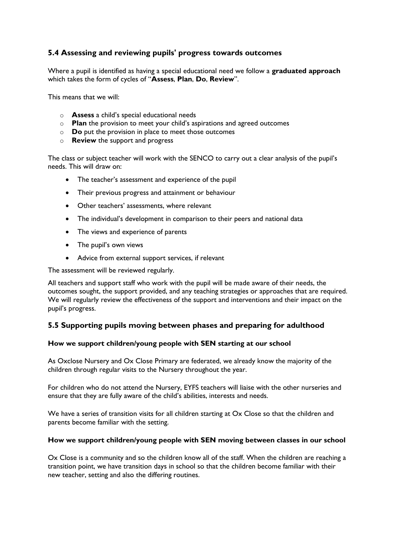#### **5.4 Assessing and reviewing pupils' progress towards outcomes**

Where a pupil is identified as having a special educational need we follow a **graduated approach** which takes the form of cycles of "**Assess**, **Plan**, **Do**, **Review**".

This means that we will:

- o **Assess** a child's special educational needs
- o **Plan** the provision to meet your child's aspirations and agreed outcomes
- o **Do** put the provision in place to meet those outcomes
- o **Review** the support and progress

The class or subject teacher will work with the SENCO to carry out a clear analysis of the pupil's needs. This will draw on:

- The teacher's assessment and experience of the pupil
- Their previous progress and attainment or behaviour
- Other teachers' assessments, where relevant
- The individual's development in comparison to their peers and national data
- The views and experience of parents
- The pupil's own views
- Advice from external support services, if relevant

The assessment will be reviewed regularly.

All teachers and support staff who work with the pupil will be made aware of their needs, the outcomes sought, the support provided, and any teaching strategies or approaches that are required. We will regularly review the effectiveness of the support and interventions and their impact on the pupil's progress.

#### **5.5 Supporting pupils moving between phases and preparing for adulthood**

#### **How we support children/young people with SEN starting at our school**

As Oxclose Nursery and Ox Close Primary are federated, we already know the majority of the children through regular visits to the Nursery throughout the year.

For children who do not attend the Nursery, EYFS teachers will liaise with the other nurseries and ensure that they are fully aware of the child's abilities, interests and needs.

We have a series of transition visits for all children starting at Ox Close so that the children and parents become familiar with the setting.

#### **How we support children/young people with SEN moving between classes in our school**

Ox Close is a community and so the children know all of the staff. When the children are reaching a transition point, we have transition days in school so that the children become familiar with their new teacher, setting and also the differing routines.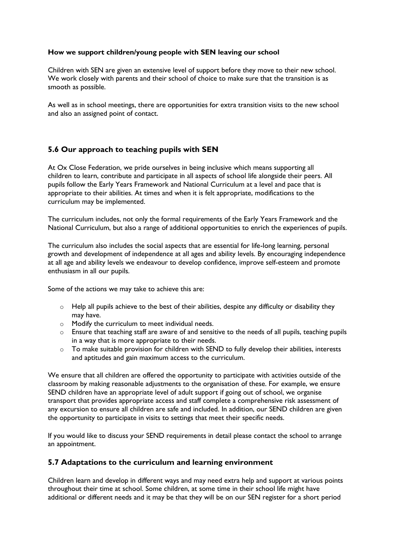#### **How we support children/young people with SEN leaving our school**

Children with SEN are given an extensive level of support before they move to their new school. We work closely with parents and their school of choice to make sure that the transition is as smooth as possible.

As well as in school meetings, there are opportunities for extra transition visits to the new school and also an assigned point of contact.

#### **5.6 Our approach to teaching pupils with SEN**

At Ox Close Federation, we pride ourselves in being inclusive which means supporting all children to learn, contribute and participate in all aspects of school life alongside their peers. All pupils follow the Early Years Framework and National Curriculum at a level and pace that is appropriate to their abilities. At times and when it is felt appropriate, modifications to the curriculum may be implemented.

The curriculum includes, not only the formal requirements of the Early Years Framework and the National Curriculum, but also a range of additional opportunities to enrich the experiences of pupils.

The curriculum also includes the social aspects that are essential for life-long learning, personal growth and development of independence at all ages and ability levels. By encouraging independence at all age and ability levels we endeavour to develop confidence, improve self-esteem and promote enthusiasm in all our pupils.

Some of the actions we may take to achieve this are:

- o Help all pupils achieve to the best of their abilities, despite any difficulty or disability they may have.
- o Modify the curriculum to meet individual needs.
- $\circ$  Ensure that teaching staff are aware of and sensitive to the needs of all pupils, teaching pupils in a way that is more appropriate to their needs.
- $\circ$  To make suitable provision for children with SEND to fully develop their abilities, interests and aptitudes and gain maximum access to the curriculum.

We ensure that all children are offered the opportunity to participate with activities outside of the classroom by making reasonable adjustments to the organisation of these. For example, we ensure SEND children have an appropriate level of adult support if going out of school, we organise transport that provides appropriate access and staff complete a comprehensive risk assessment of any excursion to ensure all children are safe and included. In addition, our SEND children are given the opportunity to participate in visits to settings that meet their specific needs.

If you would like to discuss your SEND requirements in detail please contact the school to arrange an appointment.

#### **5.7 Adaptations to the curriculum and learning environment**

Children learn and develop in different ways and may need extra help and support at various points throughout their time at school. Some children, at some time in their school life might have additional or different needs and it may be that they will be on our SEN register for a short period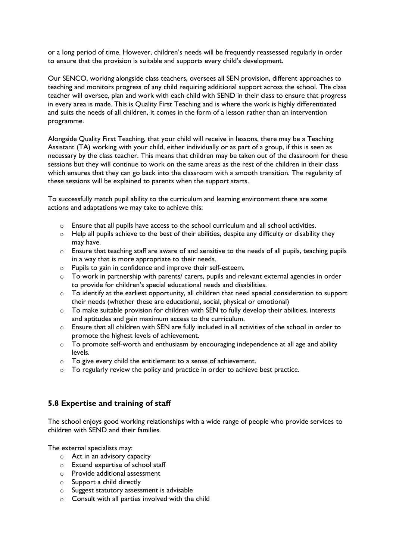or a long period of time. However, children's needs will be frequently reassessed regularly in order to ensure that the provision is suitable and supports every child's development.

Our SENCO, working alongside class teachers, oversees all SEN provision, different approaches to teaching and monitors progress of any child requiring additional support across the school. The class teacher will oversee, plan and work with each child with SEND in their class to ensure that progress in every area is made. This is Quality First Teaching and is where the work is highly differentiated and suits the needs of all children, it comes in the form of a lesson rather than an intervention programme.

Alongside Quality First Teaching, that your child will receive in lessons, there may be a Teaching Assistant (TA) working with your child, either individually or as part of a group, if this is seen as necessary by the class teacher. This means that children may be taken out of the classroom for these sessions but they will continue to work on the same areas as the rest of the children in their class which ensures that they can go back into the classroom with a smooth transition. The regularity of these sessions will be explained to parents when the support starts.

To successfully match pupil ability to the curriculum and learning environment there are some actions and adaptations we may take to achieve this:

- $\circ$  Ensure that all pupils have access to the school curriculum and all school activities.
- o Help all pupils achieve to the best of their abilities, despite any difficulty or disability they may have.
- o Ensure that teaching staff are aware of and sensitive to the needs of all pupils, teaching pupils in a way that is more appropriate to their needs.
- o Pupils to gain in confidence and improve their self-esteem.
- o To work in partnership with parents/ carers, pupils and relevant external agencies in order to provide for children's special educational needs and disabilities.
- o To identify at the earliest opportunity, all children that need special consideration to support their needs (whether these are educational, social, physical or emotional)
- o To make suitable provision for children with SEN to fully develop their abilities, interests and aptitudes and gain maximum access to the curriculum.
- $\circ$  Ensure that all children with SEN are fully included in all activities of the school in order to promote the highest levels of achievement.
- o To promote self-worth and enthusiasm by encouraging independence at all age and ability levels.
- o To give every child the entitlement to a sense of achievement.
- $\circ$  To regularly review the policy and practice in order to achieve best practice.

#### **5.8 Expertise and training of staff**

The school enjoys good working relationships with a wide range of people who provide services to children with SEND and their families.

The external specialists may:

- o Act in an advisory capacity
- o Extend expertise of school staff
- o Provide additional assessment
- o Support a child directly
- o Suggest statutory assessment is advisable
- $\circ$  Consult with all parties involved with the child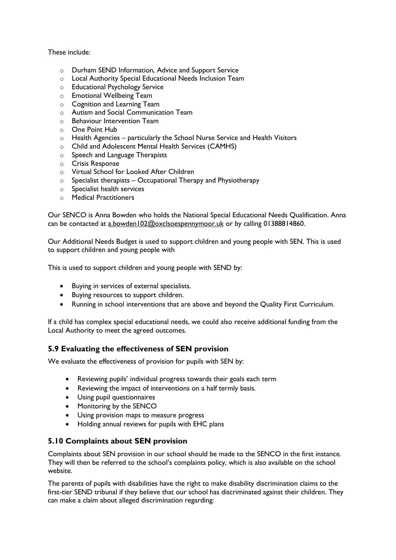#### These include:

- o [Durham SEND Information,](http://www.durhamsendiass.info/durhams-local-offer/) Advice and Support Service
- o Local Authority Special Educational Needs Inclusion Team
- o Educational Psychology Service
- o Emotional Wellbeing Team
- o Cognition and Learning Team
- o Autism and Social Communication Team
- o Behaviour Intervention Team
- o One Point Hub
- o Health Agencies particularly the School Nurse Service and Health Visitors
- o Child and Adolescent Mental Health Services (CAMHS)
- o Speech and Language Therapists
- o Crisis Response
- o Virtual School for Looked After Children
- $\circ$  Specialist therapists Occupational Therapy and Physiotherapy
- o Specialist health services
- o Medical Practitioners

Our SENCO is Anna Bowden who holds the National Special Educational Needs Qualification. Anna can be contacted at [a.bowden102@oxclsoespennymoor.uk](mailto:a.bowden102@oxclsoespennymoor.uk) or by calling 01388814860.

Our Additional Needs Budget is used to support children and young people with SEN. This is used to support children and young people with

This is used to support children and young people with SEND by:

- Buying in services of external specialists.
- Buying resources to support children.
- Running in school interventions that are above and beyond the Quality First Curriculum.

If a child has complex special educational needs, we could also receive additional funding from the Local Authority to meet the agreed outcomes.

#### **5.9 Evaluating the effectiveness of SEN provision**

We evaluate the effectiveness of provision for pupils with SEN by:

- Reviewing pupils' individual progress towards their goals each term
- Reviewing the impact of interventions on a half termly basis.
- Using pupil questionnaires
- Monitoring by the SENCO
- Using provision maps to measure progress
- Holding annual reviews for pupils with EHC plans

#### **5.10 Complaints about SEN provision**

Complaints about SEN provision in our school should be made to the SENCO in the first instance. They will then be referred to the school's complaints policy, which is also available on the school website.

The parents of pupils with disabilities have the right to make disability discrimination claims to the first-tier SEND tribunal if they believe that our school has discriminated against their children. They can make a claim about alleged discrimination regarding: